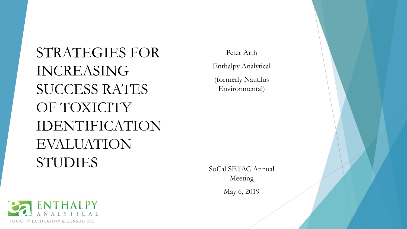STRATEGIES FOR INCREASING SUCCESS RATES OF TOXICITY IDENTIFICATION EVALUATION STUDIES

Peter Arth Enthalpy Analytical (formerly Nautilus Environmental)

SoCal SETAC Annual Meeting

May 6, 2019

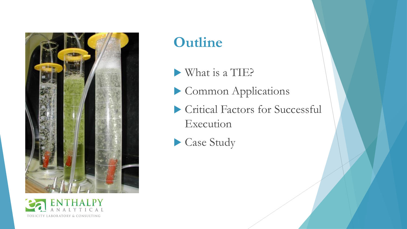



### **Outline**

- What is a TIE?
- Common Applications
- Critical Factors for Successful Execution
- Case Study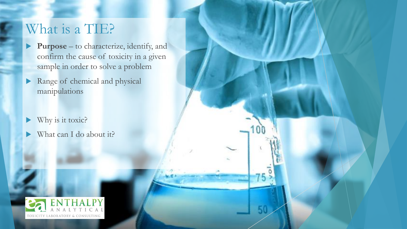### What is a TIE?

 **Purpose** – to characterize, identify, and confirm the cause of toxicity in a given sample in order to solve a problem

50

- Range of chemical and physical manipulations
- Why is it toxic?
- What can I do about it?

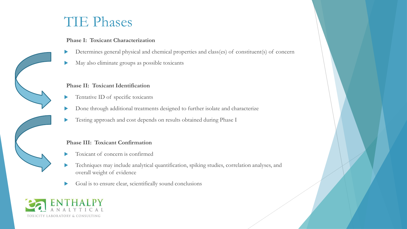### TIE Phases

#### **Phase I: Toxicant Characterization**

- Determines general physical and chemical properties and class(es) of constituent(s) of concern
- May also eliminate groups as possible toxicants

#### **Phase II: Toxicant Identification**

- Tentative ID of specific toxicants
- Done through additional treatments designed to further isolate and characterize
- Testing approach and cost depends on results obtained during Phase I

#### **Phase III: Toxicant Confirmation**

- Toxicant of concern is confirmed
- Techniques may include analytical quantification, spiking studies, correlation analyses, and overall weight of evidence
- Goal is to ensure clear, scientifically sound conclusions

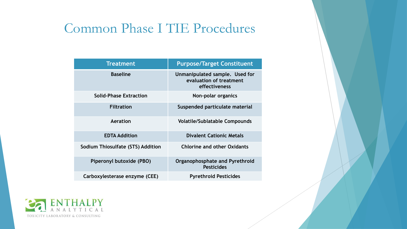### Common Phase I TIE Procedures

| <b>Treatment</b>                  | <b>Purpose/Target Constituent</b>                                          |  |  |  |  |
|-----------------------------------|----------------------------------------------------------------------------|--|--|--|--|
| <b>Baseline</b>                   | Unmanipulated sample. Used for<br>evaluation of treatment<br>effectiveness |  |  |  |  |
| <b>Solid-Phase Extraction</b>     | Non-polar organics                                                         |  |  |  |  |
| <b>Filtration</b>                 | Suspended particulate material                                             |  |  |  |  |
| Aeration                          | <b>Volatile/Sublatable Compounds</b>                                       |  |  |  |  |
| <b>EDTA Addition</b>              | <b>Divalent Cationic Metals</b>                                            |  |  |  |  |
| Sodium Thiosulfate (STS) Addition | <b>Chlorine and other Oxidants</b>                                         |  |  |  |  |
| Piperonyl butoxide (PBO)          | Organophosphate and Pyrethroid<br><b>Pesticides</b>                        |  |  |  |  |
| Carboxylesterase enzyme (CEE)     | <b>Pyrethroid Pesticides</b>                                               |  |  |  |  |

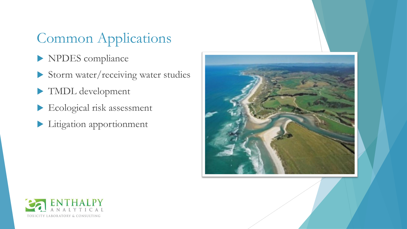## Common Applications

- NPDES compliance
- Storm water/receiving water studies
- TMDL development
- Ecological risk assessment
- Litigation apportionment



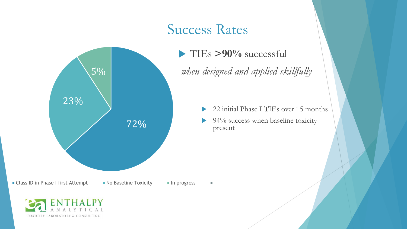### Success Rates



 TIEs **>90%** successful *when designed and applied skillfully*

- ▶ 22 initial Phase I TIEs over 15 months
- $\blacktriangleright$  94% success when baseline toxicity present

■ Class ID in Phase I first Attempt ■ No Baseline Toxicity ■ In progress

 $\overline{\phantom{a}}$ 

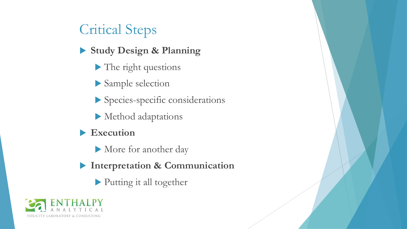## Critical Steps

- **Study Design & Planning** 
	- The right questions
	- Sample selection
	- Species-specific considerations
	- Method adaptations
- **Execution**
	- More for another day
- **Interpretation & Communication**
	- Putting it all together

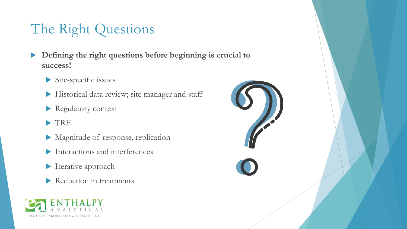# The Right Questions

- **Defining the right questions before beginning is crucial to success!**
	- Site-specific issues
	- Historical data review; site manager and staff
	- Regulatory context
	- >TRE
	- Magnitude of response, replication
	- Interactions and interferences
	- Iterative approach
	- Reduction in treatments



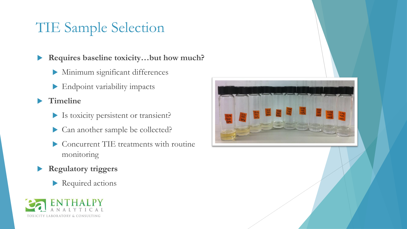### TIE Sample Selection

**Requires baseline toxicity…but how much?**

- Minimum significant differences
- Endpoint variability impacts

**Timeline**

- Is toxicity persistent or transient?
- Can another sample be collected?
- Concurrent TIE treatments with routine monitoring
- **Regulatory triggers**
	- Required actions



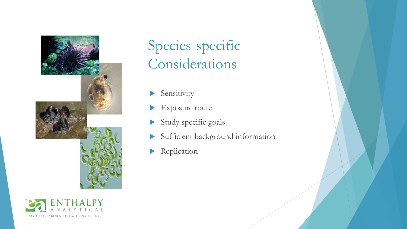



# Species-specific Considerations

- Sensitivity
- Exposure route
- Study specific goals
- Sufficient background information
- Replication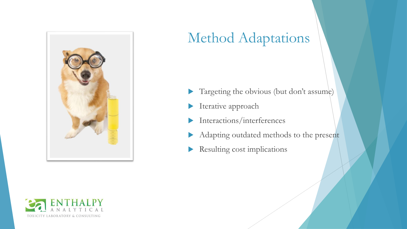

## Method Adaptations

- Targeting the obvious (but don't assume)
- **Iterative approach**
- Interactions/interferences
- Adapting outdated methods to the present
- Resulting cost implications

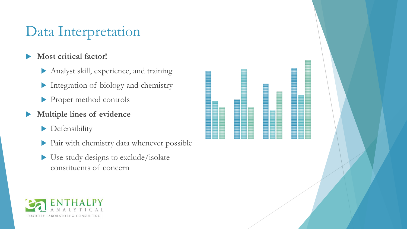### Data Interpretation

### **Most critical factor!**

- Analyst skill, experience, and training
- Integration of biology and chemistry
- Proper method controls
- **Multiple lines of evidence**
	- **Defensibility**
	- Pair with chemistry data whenever possible
	- Use study designs to exclude/isolate constituents of concern



**College**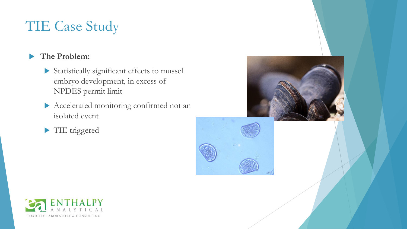### **The Problem:**

- Statistically significant effects to mussel embryo development, in excess of NPDES permit limit
- Accelerated monitoring confirmed not an isolated event
- TIE triggered



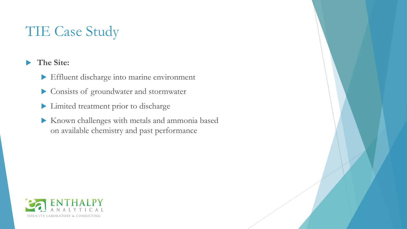### **The Site:**

- Effluent discharge into marine environment
- Consists of groundwater and stormwater
- Limited treatment prior to discharge
- Known challenges with metals and ammonia based on available chemistry and past performance

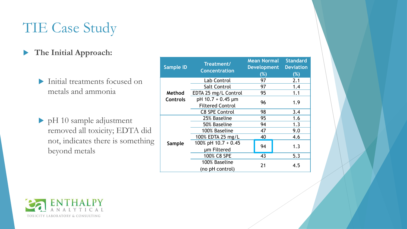#### **The Initial Approach:**

- Initial treatments focused on metals and ammonia
- pH 10 sample adjustment removed all toxicity; EDTA did not, indicates there is something beyond metals

| <b>Sample ID</b> | Treatment/<br><b>Concentration</b>           | <b>Mean Normal</b><br><b>Development</b><br>$(\%)$ | <b>Standard</b><br><b>Deviation</b><br>$(\%)$ |
|------------------|----------------------------------------------|----------------------------------------------------|-----------------------------------------------|
|                  | Lab Control                                  | 97                                                 | 2.1                                           |
|                  | <b>Salt Control</b>                          | 97                                                 | 1.4                                           |
| Method           | EDTA 25 mg/L Control                         | 95                                                 | 1.1                                           |
| <b>Controls</b>  | pH 10.7 + 0.45 µm<br><b>Filtered Control</b> | 96                                                 | 1.9                                           |
|                  | <b>C8 SPE Control</b>                        | 98                                                 | 3.4                                           |
| Sample           | 25% Baseline                                 | 95                                                 | 1.6                                           |
|                  | 50% Baseline                                 | 94                                                 | 1.3                                           |
|                  | 100% Baseline                                | 47                                                 | 9.0                                           |
|                  | 100% EDTA 25 mg/L                            | 40                                                 | 4.6                                           |
|                  | 100% pH $10.7 + 0.45$                        | 94                                                 | 1.3                                           |
|                  | um Filtered                                  |                                                    |                                               |
|                  | 100% C8 SPE                                  | 43                                                 | 5.3                                           |
|                  | 100% Baseline                                | 21                                                 | 4.5                                           |
|                  | (no pH control)                              |                                                    |                                               |

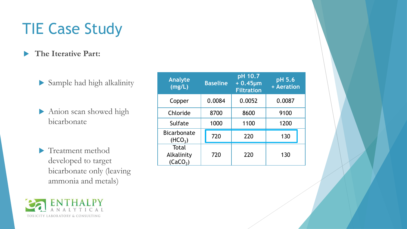#### **The Iterative Part:**

- Sample had high alkalinity
- Anion scan showed high bicarbonate
- **Treatment method** developed to target bicarbonate only (leaving ammonia and metals)

| <b>Analyte</b><br>(mg/L)                    | <b>Baseline</b> | pH 10.7<br>$+0.45 \mu m$<br><b>Filtration</b> | pH 5.6<br>+ Aeration |  |
|---------------------------------------------|-----------------|-----------------------------------------------|----------------------|--|
| Copper                                      | 0.0084          | 0.0052                                        | 0.0087               |  |
| Chloride                                    | 8700            | 8600                                          | 9100                 |  |
| Sulfate                                     | 1000            | 1100                                          | 1200                 |  |
| <b>Bicarbonate</b><br>(HCO <sub>3</sub> )   | 720             | 220                                           | 130                  |  |
| Total<br>Alkalinity<br>(CaCO <sub>3</sub> ) | 720             | 220                                           | 130                  |  |

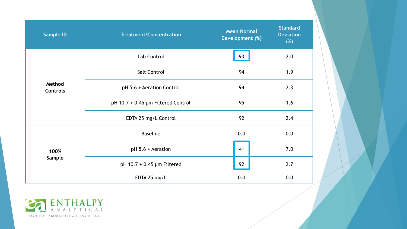| <b>Sample ID</b>          | <b>Treatment/Concentration</b>     | <b>Mean Normal</b><br>Development (%) | <b>Standard</b><br><b>Deviation</b><br>(%) |
|---------------------------|------------------------------------|---------------------------------------|--------------------------------------------|
|                           | Lab Control                        | 93                                    | 2.0                                        |
|                           | <b>Salt Control</b>                | 94                                    | 1.9                                        |
| Method<br><b>Controls</b> | pH 5.6 + Aeration Control          | 94                                    | 2.3                                        |
|                           | pH 10.7 + 0.45 µm Filtered Control | 95                                    | 1.6                                        |
|                           | EDTA 25 mg/L Control               | 92                                    | 2.4                                        |
|                           | <b>Baseline</b>                    | 0.0                                   | 0.0                                        |
| 100%                      | pH 5.6 + Aeration                  | 41                                    | 7.0                                        |
| Sample                    | pH 10.7 + 0.45 µm Filtered         | 92                                    | 2.7                                        |
|                           | EDTA 25 mg/L                       | 0.0                                   | 0.0                                        |

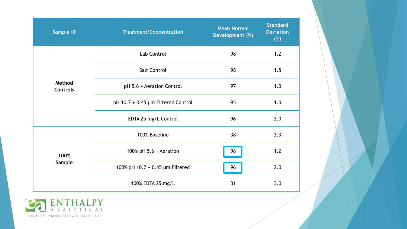| <b>Sample ID</b>          | <b>Treatment/Concentration</b>     | <b>Mean Normal</b><br>Development (%) | <b>Standard</b><br><b>Deviation</b><br>(%) |
|---------------------------|------------------------------------|---------------------------------------|--------------------------------------------|
|                           | Lab Control                        | 98                                    | 1.2                                        |
|                           | Salt Control                       | 98                                    | 1.5                                        |
| Method<br><b>Controls</b> | pH 5.6 + Aeration Control          | 97                                    | 1.0                                        |
|                           | pH 10.7 + 0.45 µm Filtered Control | 95                                    | 1.0                                        |
|                           | EDTA 25 mg/L Control               | 96                                    | 2.0                                        |
|                           | 100% Baseline                      | 38                                    | 2.3                                        |
| 100%                      | 100% pH $5.6 +$ Aeration           | 98                                    | 1.2                                        |
| Sample                    | 100% pH 10.7 + 0.45 µm Filtered    | 96                                    | 2.0                                        |
|                           | 100% EDTA 25 mg/L                  | 31                                    | 3.0                                        |

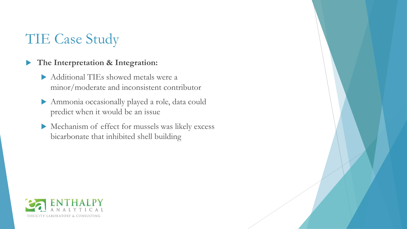#### **The Interpretation & Integration:**

- Additional TIEs showed metals were a minor/moderate and inconsistent contributor
- Ammonia occasionally played a role, data could predict when it would be an issue
- Mechanism of effect for mussels was likely excess bicarbonate that inhibited shell building

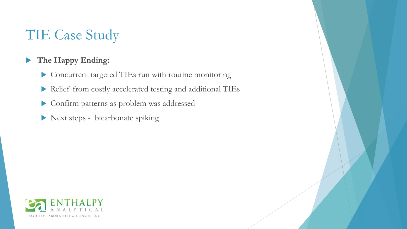### **The Happy Ending:**

- Concurrent targeted TIEs run with routine monitoring
- Relief from costly accelerated testing and additional TIEs
- Confirm patterns as problem was addressed
- Next steps bicarbonate spiking